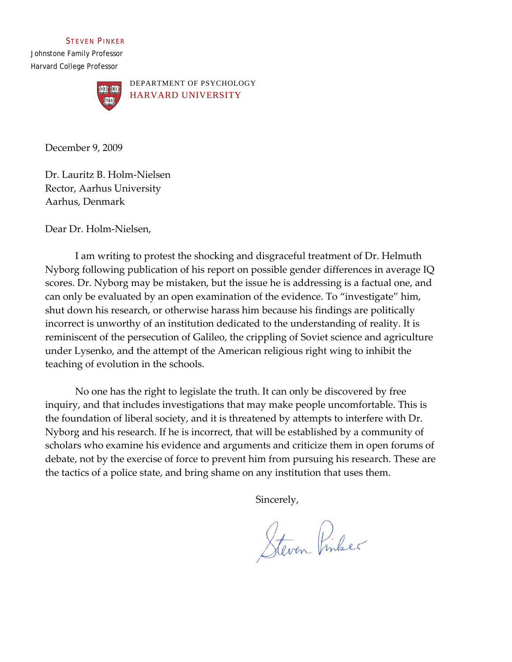## STEVEN PINKER

 Johnstone Family Professor Harvard College Professor



December 9, 2009

Dr. Lauritz B. Holm‐Nielsen Rector, Aarhus University Aarhus, Denmark

Dear Dr. Holm‐Nielsen,

I am writing to protest the shocking and disgraceful treatment of Dr. Helmuth Nyborg following publication of his report on possible gender differences in average IQ scores. Dr. Nyborg may be mistaken, but the issue he is addressing is a factual one, and can only be evaluated by an open examination of the evidence. To "investigate" him, shut down his research, or otherwise harass him because his findings are politically incorrect is unworthy of an institution dedicated to the understanding of reality. It is reminiscent of the persecution of Galileo, the crippling of Soviet science and agriculture under Lysenko, and the attempt of the American religious right wing to inhibit the teaching of evolution in the schools.

No one has the right to legislate the truth. It can only be discovered by free inquiry, and that includes investigations that may make people uncomfortable. This is the foundation of liberal society, and it is threatened by attempts to interfere with Dr. Nyborg and his research. If he is incorrect, that will be established by a community of scholars who examine his evidence and arguments and criticize them in open forums of debate, not by the exercise of force to prevent him from pursuing his research. These are the tactics of a police state, and bring shame on any institution that uses them.

Sincerely,

Steven Pinker